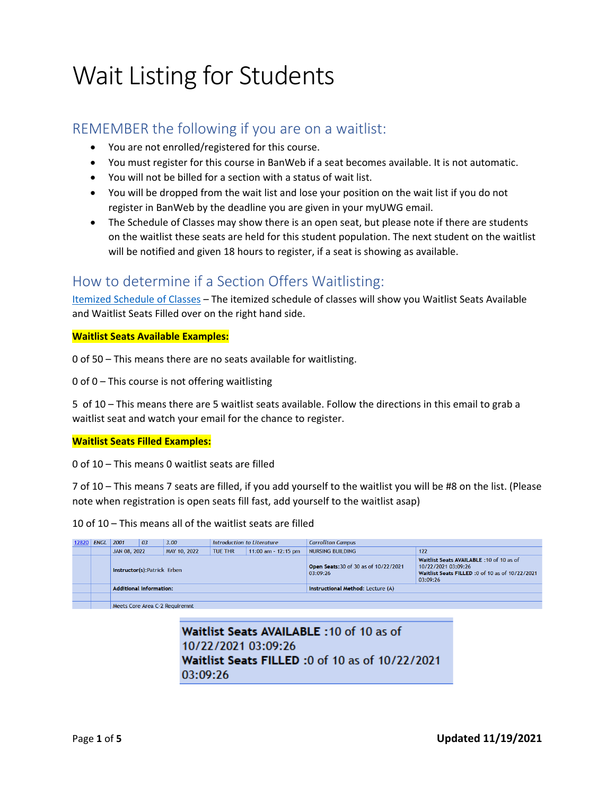# Wait Listing for Students

## REMEMBER the following if you are on a waitlist:

- You are not enrolled/registered for this course.
- You must register for this course in BanWeb if a seat becomes available. It is not automatic.
- You will not be billed for a section with a status of wait list.
- You will be dropped from the wait list and lose your position on the wait list if you do not register in BanWeb by the deadline you are given in your myUWG email.
- The Schedule of Classes may show there is an open seat, but please note if there are students on the waitlist these seats are held for this student population. The next student on the waitlist will be notified and given 18 hours to register, if a seat is showing as available.

## How to determine if a Section Offers Waitlisting:

Itemized Schedule of Classes – The itemized schedule of classes will show you Waitlist Seats Available and Waitlist Seats Filled over on the right hand side.

#### **Waitlist Seats Available Examples:**

0 of 50 – This means there are no seats available for waitlisting.

0 of 0 – This course is not offering waitlisting

5 of 10 – This means there are 5 waitlist seats available. Follow the directions in this email to grab a waitlist seat and watch your email for the chance to register.

#### **Waitlist Seats Filled Examples:**

0 of 10 – This means 0 waitlist seats are filled

7 of 10 – This means 7 seats are filled, if you add yourself to the waitlist you will be #8 on the list. (Please note when registration is open seats fill fast, add yourself to the waitlist asap)

10 of 10 – This means all of the waitlist seats are filled

| 12820 | <b>ENGL</b> | 2001                           | 03 | Introduction to Literature<br>3.00                        |  |  | <b>Carrollton Campus</b>                          |                                                                                                                                 |  |  |  |  |
|-------|-------------|--------------------------------|----|-----------------------------------------------------------|--|--|---------------------------------------------------|---------------------------------------------------------------------------------------------------------------------------------|--|--|--|--|
|       |             | JAN 08, 2022                   |    | <b>TUE THR</b><br>$11:00$ am - $12:15$ pm<br>MAY 10, 2022 |  |  | NURSING BUILDING                                  | 122                                                                                                                             |  |  |  |  |
|       |             | Instructor(s):Patrick Erben    |    |                                                           |  |  | Open Seats: 30 of 30 as of 10/22/2021<br>03:09:26 | Waitlist Seats AVAILABLE: 10 of 10 as of<br>10/22/2021 03:09:26<br>Waitlist Seats FILLED : 0 of 10 as of 10/22/2021<br>03:09:26 |  |  |  |  |
|       |             | <b>Additional Information:</b> |    |                                                           |  |  | Instructional Method: Lecture (A)                 |                                                                                                                                 |  |  |  |  |
|       |             |                                |    |                                                           |  |  |                                                   |                                                                                                                                 |  |  |  |  |
|       |             |                                |    | Meets Core Area C-2 Requiremnt                            |  |  |                                                   |                                                                                                                                 |  |  |  |  |

Waitlist Seats AVAILABLE: 10 of 10 as of 10/22/2021 03:09:26 Waitlist Seats FILLED : 0 of 10 as of 10/22/2021  $0.03.07.20$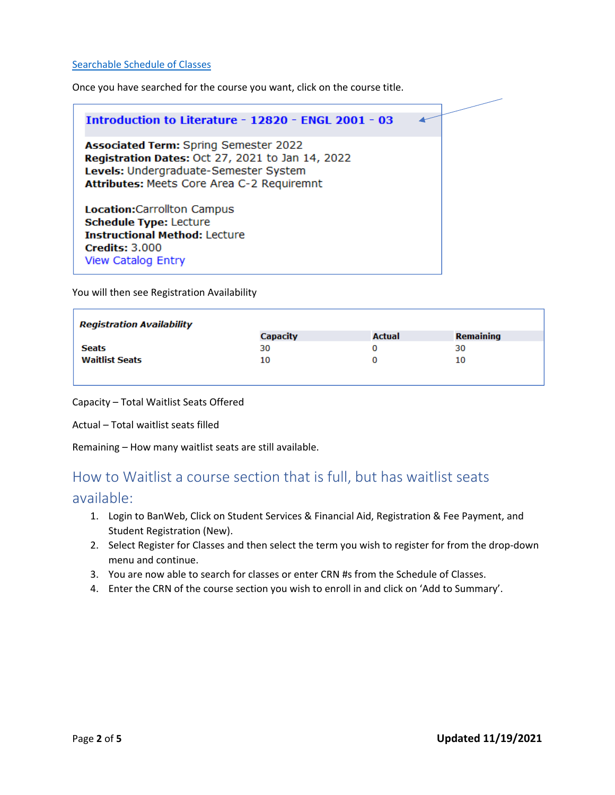#### Searchable Schedule of Classes

Once you have searched for the course you want, click on the course title.



You will then see Registration Availability

| <b>Registration Availability</b> |                 |               |                  |  |  |  |  |  |  |  |
|----------------------------------|-----------------|---------------|------------------|--|--|--|--|--|--|--|
|                                  | <b>Capacity</b> | <b>Actual</b> | <b>Remaining</b> |  |  |  |  |  |  |  |
| Seats                            | 30              |               | 30               |  |  |  |  |  |  |  |
| <b>Waitlist Seats</b>            | 10              |               | 10               |  |  |  |  |  |  |  |
|                                  |                 |               |                  |  |  |  |  |  |  |  |

Capacity – Total Waitlist Seats Offered

Actual – Total waitlist seats filled

Remaining – How many waitlist seats are still available.

## How to Waitlist a course section that is full, but has waitlist seats

### available:

- 1. Login to BanWeb, Click on Student Services & Financial Aid, Registration & Fee Payment, and Student Registration (New).
- 2. Select Register for Classes and then select the term you wish to register for from the drop-down menu and continue.
- 3. You are now able to search for classes or enter CRN #s from the Schedule of Classes.
- 4. Enter the CRN of the course section you wish to enroll in and click on 'Add to Summary'.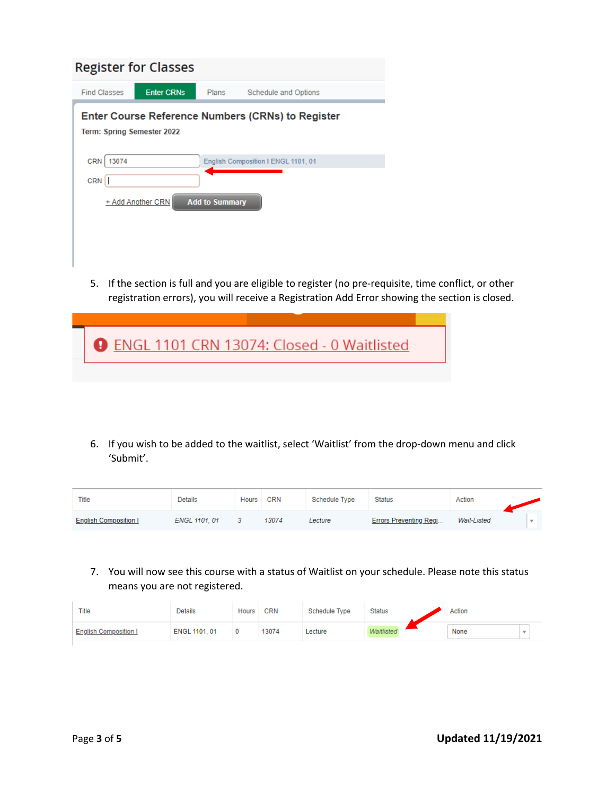| <b>Register for Classes</b>                                                     |                   |       |                      |  |  |  |  |  |  |  |  |
|---------------------------------------------------------------------------------|-------------------|-------|----------------------|--|--|--|--|--|--|--|--|
| <b>Find Classes</b>                                                             | <b>Enter CRNs</b> | Plans | Schedule and Options |  |  |  |  |  |  |  |  |
| Enter Course Reference Numbers (CRNs) to Register<br>Term: Spring Semester 2022 |                   |       |                      |  |  |  |  |  |  |  |  |
| <b>CRN</b><br>13074<br>English Composition I ENGL 1101, 01                      |                   |       |                      |  |  |  |  |  |  |  |  |
| CRN                                                                             |                   |       |                      |  |  |  |  |  |  |  |  |
| <b>Add to Summary</b><br>+ Add Another CRN                                      |                   |       |                      |  |  |  |  |  |  |  |  |
|                                                                                 |                   |       |                      |  |  |  |  |  |  |  |  |
|                                                                                 |                   |       |                      |  |  |  |  |  |  |  |  |
|                                                                                 |                   |       |                      |  |  |  |  |  |  |  |  |

5. If the section is full and you are eligible to register (no pre-requisite, time conflict, or other registration errors), you will receive a Registration Add Error showing the section is closed.

| <b>O</b> ENGL 1101 CRN 13074: Closed - 0 Waitlisted |  |
|-----------------------------------------------------|--|
|                                                     |  |

6. If you wish to be added to the waitlist, select 'Waitlist' from the drop‐down menu and click 'Submit'.

| Title                        | Details       | <b>Hours</b> | <b>CRN</b> | Schedule Type | <b>Status</b>                 | Action      |  |
|------------------------------|---------------|--------------|------------|---------------|-------------------------------|-------------|--|
| <b>English Composition I</b> | ENGL 1101, 01 |              | 13074      | Lecture       | <b>Errors Preventing Regi</b> | Wait-Listed |  |

7. You will now see this course with a status of Waitlist on your schedule. Please note this status means you are not registered.

| <b>Title</b>                 | Details       | <b>Hours</b> | <b>CRN</b> | Schedule Type | <b>Status</b> | Action |  |
|------------------------------|---------------|--------------|------------|---------------|---------------|--------|--|
| <b>English Composition I</b> | ENGL 1101, 01 |              | 13074      | Lecture       | Waitlisted    | None   |  |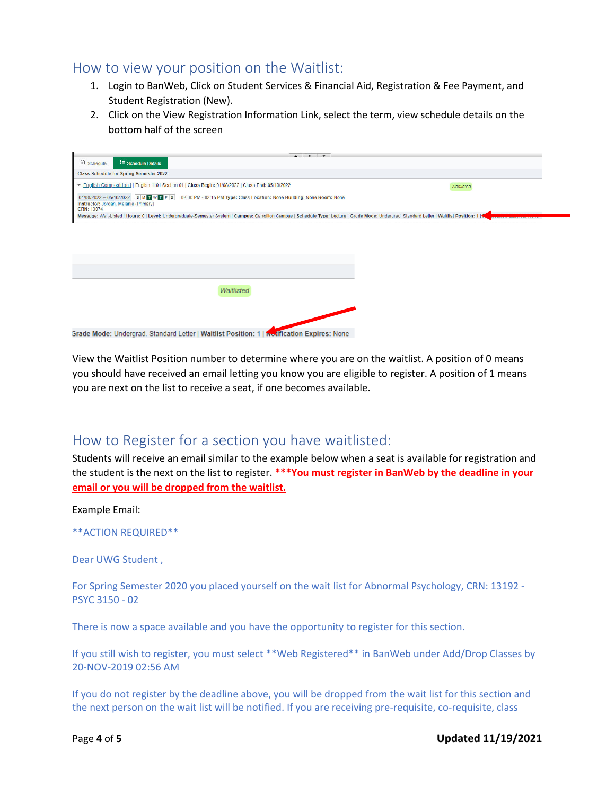## How to view your position on the Waitlist:

- 1. Login to BanWeb, Click on Student Services & Financial Aid, Registration & Fee Payment, and Student Registration (New).
- 2. Click on the View Registration Information Link, select the term, view schedule details on the bottom half of the screen

| $\sim$ $\sim$                                                                                                                                                                                   |            |
|-------------------------------------------------------------------------------------------------------------------------------------------------------------------------------------------------|------------|
| <sup>面</sup> Schedule<br>Schedule Details                                                                                                                                                       |            |
| <b>Class Schedule for Spring Semester 2022</b>                                                                                                                                                  |            |
| English Composition I   English 1101 Section 01   Class Begin: 01/08/2022   Class End: 05/10/2022                                                                                               | Waitlisted |
| 01/08/2022 -- 05/10/2022 SM T W T F S 02:00 PM - 03:15 PM Type: Class Location: None Building: None Room: None<br>Instructor: Jordan, Melanie (Primary)<br>CRN: 13074                           |            |
| Message: Wait-Listed   Hours: 0   Level: Undergraduate-Semester System   Campus: Carrollton Campus   Schedule Type: Lecture   Grade Mode: Undergrad. Standard Letter   Waitlist Position: 1   < |            |
|                                                                                                                                                                                                 |            |
|                                                                                                                                                                                                 |            |
|                                                                                                                                                                                                 |            |
|                                                                                                                                                                                                 |            |
|                                                                                                                                                                                                 |            |
|                                                                                                                                                                                                 |            |
| Waitlisted                                                                                                                                                                                      |            |
|                                                                                                                                                                                                 |            |
|                                                                                                                                                                                                 |            |
| Grade Mode: Undergrad, Standard Letter LWaitlist Position: 1 Lt., iffication Expires: None                                                                                                      |            |

View the Waitlist Position number to determine where you are on the waitlist. A position of 0 means you should have received an email letting you know you are eligible to register. A position of 1 means you are next on the list to receive a seat, if one becomes available.

## How to Register for a section you have waitlisted:

Students will receive an email similar to the example below when a seat is available for registration and the student is the next on the list to register. **\*\*\*You must register in BanWeb by the deadline in your email or you will be dropped from the waitlist.**

Example Email:

```
**ACTION REQUIRED**
```
Dear UWG Student ,

For Spring Semester 2020 you placed yourself on the wait list for Abnormal Psychology, CRN: 13192 -PSYC 3150 ‐ 02

There is now a space available and you have the opportunity to register for this section.

If you still wish to register, you must select \*\*Web Registered\*\* in BanWeb under Add/Drop Classes by 20‐NOV‐2019 02:56 AM

If you do not register by the deadline above, you will be dropped from the wait list for this section and the next person on the wait list will be notified. If you are receiving pre-requisite, co-requisite, class